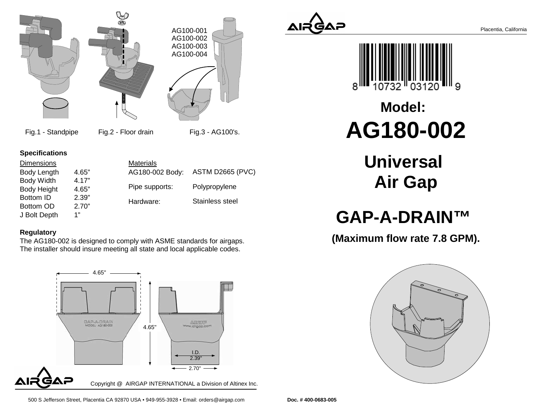

Fig.1 - Standpipe Fig.2 - Floor drain Fig.3 - AG100's.

### **Specifications**

| <b>Dimensions</b>  |       | <b>Materials</b> |                         |  |
|--------------------|-------|------------------|-------------------------|--|
| Body Length        | 4.65" | AG180-002 Body:  | <b>ASTM D2665 (PVC)</b> |  |
| <b>Body Width</b>  | 4.17" |                  |                         |  |
| <b>Body Height</b> | 4.65" | Pipe supports:   | Polypropylene           |  |
| Bottom ID          | 2.39" | Hardware:        | Stainless steel         |  |
| Bottom OD          | 2.70" |                  |                         |  |
| J Bolt Depth       | 1"    |                  |                         |  |

#### **Regulatory**

 The AG180-002 is designed to comply with ASME standards for airgaps. The installer should insure meeting all state and local applicable codes.







# **AG180-002Model:**

**Universal Air Gap**

## **GAP-A-DRAIN™**

**(Maximum flow rate 7.8 GPM).**